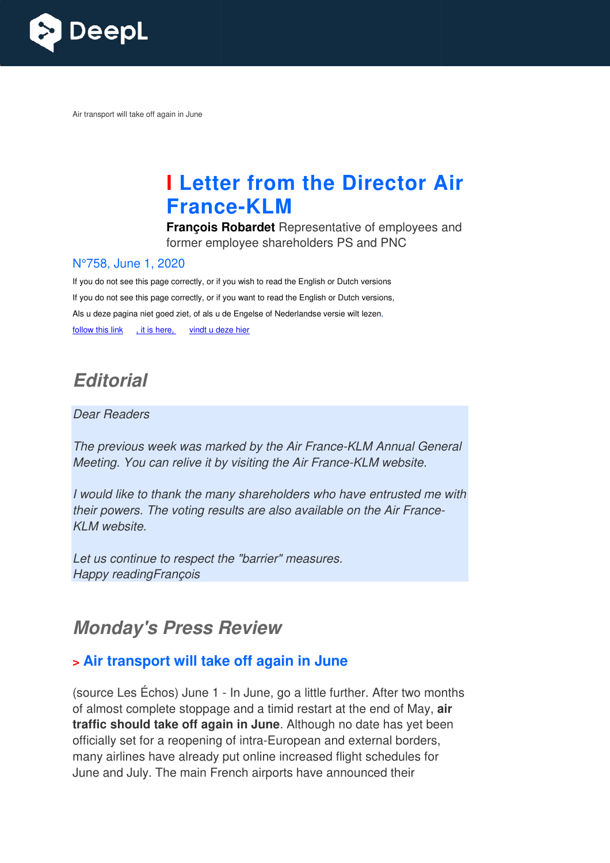

Air transport will take off again in June

# **I Letter from the Director Air France France-KLM**

**François Robardet** Representative of employees and former employee shareholders PS and PNC

#### N°758, June 1, 2020

If you do not see this page correctly, or if you wish to read the English or Dutch versions If you do not see this page correctly, or if you want to read the English or Dutch versions, Als u deze pagina niet goed ziet, of als u de Engelse of Nederlandse versie wilt lezen, follow this link , it is here, vindt u deze hier

## **Editorial**

#### Dear Readers

The previous week was marked by the Air France-KLM Annual General Meeting. You can relive it by visiting the Air France-KLM website.

I would like to thank the many shareholders who have entrusted me with their powers. The voting results are also available on the Air France KLM website. KLM Annual Gene<br>?-KLM website.<br>ave entrusted me<br>on the Air France-

Let us continue to respect the "barrier" measures. Happy readingFrançois

## **Monday's Press Review**

## **> Air transport will take off again in June**

(source Les Échos) June 1 - In June, go a little further. After two months of almost complete stoppage and a timid restart at the end of May, **air traffic should take off again in June** . Although no date has yet been officially set for a reopening of intra-European and external borders, many airlines have already put online increased flight schedules for June and July. The main French airports have announced their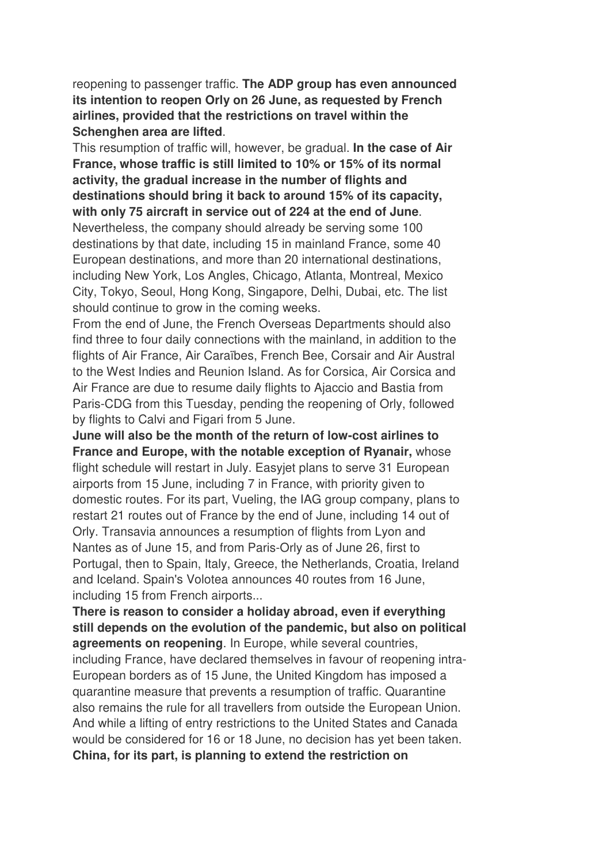reopening to passenger traffic. **The ADP group has even announced its intention to reopen Orly on 26 June, as requested by French airlines, provided that the restrictions on travel within the Schenghen area are lifted**.

This resumption of traffic will, however, be gradual. **In the case of Air France, whose traffic is still limited to 10% or 15% of its normal activity, the gradual increase in the number of flights and destinations should bring it back to around 15% of its capacity, with only 75 aircraft in service out of 224 at the end of June**. Nevertheless, the company should already be serving some 100 destinations by that date, including 15 in mainland France, some 40 European destinations, and more than 20 international destinations, including New York, Los Angles, Chicago, Atlanta, Montreal, Mexico City, Tokyo, Seoul, Hong Kong, Singapore, Delhi, Dubai, etc. The list should continue to grow in the coming weeks.

From the end of June, the French Overseas Departments should also find three to four daily connections with the mainland, in addition to the flights of Air France, Air Caraïbes, French Bee, Corsair and Air Austral to the West Indies and Reunion Island. As for Corsica, Air Corsica and Air France are due to resume daily flights to Ajaccio and Bastia from Paris-CDG from this Tuesday, pending the reopening of Orly, followed by flights to Calvi and Figari from 5 June.

**June will also be the month of the return of low-cost airlines to France and Europe, with the notable exception of Ryanair,** whose flight schedule will restart in July. Easyjet plans to serve 31 European airports from 15 June, including 7 in France, with priority given to domestic routes. For its part, Vueling, the IAG group company, plans to restart 21 routes out of France by the end of June, including 14 out of Orly. Transavia announces a resumption of flights from Lyon and Nantes as of June 15, and from Paris-Orly as of June 26, first to Portugal, then to Spain, Italy, Greece, the Netherlands, Croatia, Ireland and Iceland. Spain's Volotea announces 40 routes from 16 June, including 15 from French airports...

**There is reason to consider a holiday abroad, even if everything still depends on the evolution of the pandemic, but also on political agreements on reopening**. In Europe, while several countries, including France, have declared themselves in favour of reopening intra-European borders as of 15 June, the United Kingdom has imposed a quarantine measure that prevents a resumption of traffic. Quarantine also remains the rule for all travellers from outside the European Union. And while a lifting of entry restrictions to the United States and Canada would be considered for 16 or 18 June, no decision has yet been taken. **China, for its part, is planning to extend the restriction on**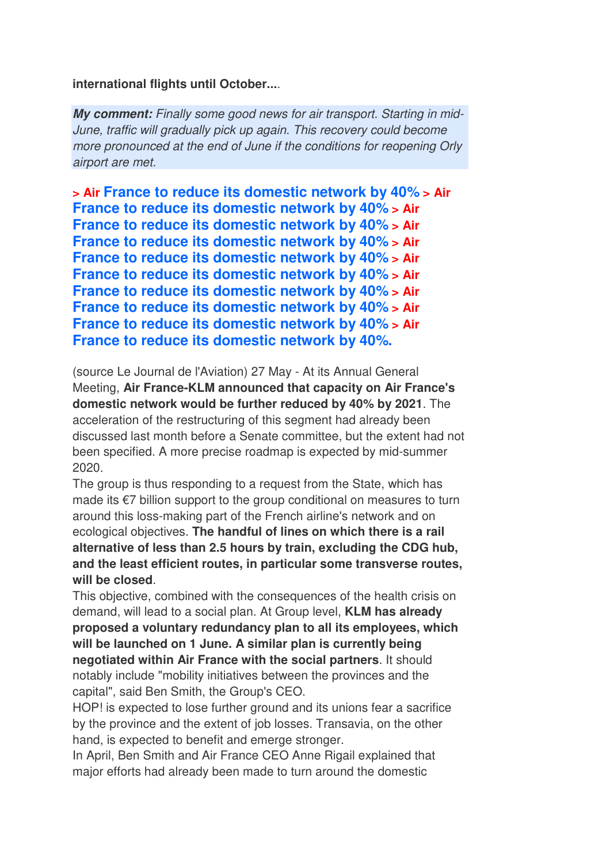#### **international flights until October...**.

**My comment:** Finally some good news for air transport. Starting in mid-June, traffic will gradually pick up again. This recovery could become more pronounced at the end of June if the conditions for reopening Orly airport are met.

```
> Air France to reduce its domestic network by 40% > Air 
France to reduce its domestic network by 40% > Air 
France to reduce its domestic network by 40% > Air 
France to reduce its domestic network by 40% > Air 
France to reduce its domestic network by 40% > Air 
France to reduce its domestic network by 40% > Air 
France to reduce its domestic network by 40% > Air 
France to reduce its domestic network by 40% > Air 
France to reduce its domestic network by 40% > Air 
France to reduce its domestic network by 40%.
```
(source Le Journal de l'Aviation) 27 May - At its Annual General Meeting, **Air France-KLM announced that capacity on Air France's domestic network would be further reduced by 40% by 2021**. The acceleration of the restructuring of this segment had already been discussed last month before a Senate committee, but the extent had not been specified. A more precise roadmap is expected by mid-summer 2020.

The group is thus responding to a request from the State, which has made its €7 billion support to the group conditional on measures to turn around this loss-making part of the French airline's network and on ecological objectives. **The handful of lines on which there is a rail alternative of less than 2.5 hours by train, excluding the CDG hub, and the least efficient routes, in particular some transverse routes, will be closed**.

This objective, combined with the consequences of the health crisis on demand, will lead to a social plan. At Group level, **KLM has already proposed a voluntary redundancy plan to all its employees, which will be launched on 1 June. A similar plan is currently being negotiated within Air France with the social partners**. It should notably include "mobility initiatives between the provinces and the capital", said Ben Smith, the Group's CEO.

HOP! is expected to lose further ground and its unions fear a sacrifice by the province and the extent of job losses. Transavia, on the other hand, is expected to benefit and emerge stronger.

In April, Ben Smith and Air France CEO Anne Rigail explained that major efforts had already been made to turn around the domestic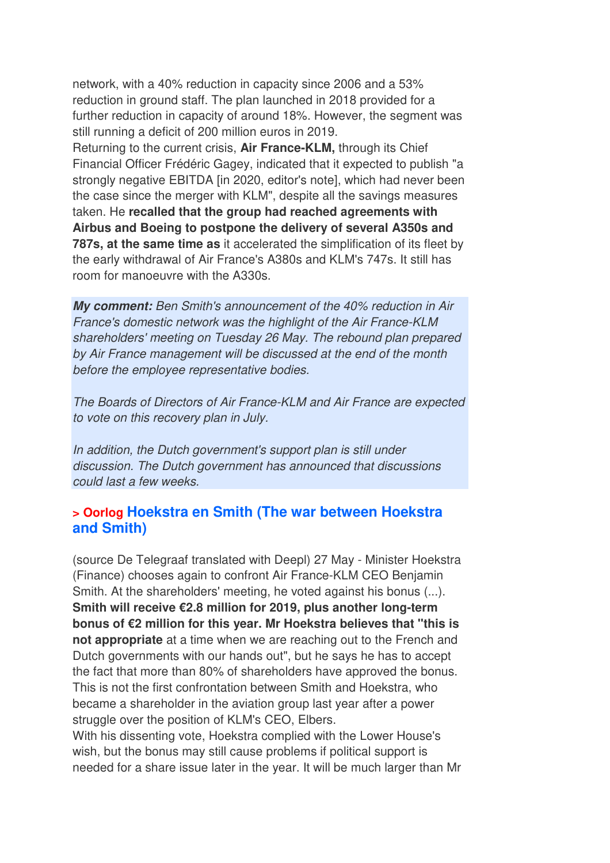network, with a 40% reduction in capacity since 2006 and a 53% reduction in ground staff. The plan launched in 2018 provided for a further reduction in capacity of around 18%. However, the segment was still running a deficit of 200 million euros in 2019.

Returning to the current crisis, **Air France-KLM,** through its Chief Financial Officer Frédéric Gagey, indicated that it expected to publish "a strongly negative EBITDA [in 2020, editor's note], which had never been the case since the merger with KLM", despite all the savings measures taken. He **recalled that the group had reached agreements with Airbus and Boeing to postpone the delivery of several A350s and 787s, at the same time as** it accelerated the simplification of its fleet by the early withdrawal of Air France's A380s and KLM's 747s. It still has room for manoeuvre with the A330s.

**My comment:** Ben Smith's announcement of the 40% reduction in Air France's domestic network was the highlight of the Air France-KLM shareholders' meeting on Tuesday 26 May. The rebound plan prepared by Air France management will be discussed at the end of the month before the employee representative bodies.

The Boards of Directors of Air France-KLM and Air France are expected to vote on this recovery plan in July.

In addition, the Dutch government's support plan is still under discussion. The Dutch government has announced that discussions could last a few weeks.

## **> Oorlog Hoekstra en Smith (The war between Hoekstra and Smith)**

(source De Telegraaf translated with Deepl) 27 May - Minister Hoekstra (Finance) chooses again to confront Air France-KLM CEO Benjamin Smith. At the shareholders' meeting, he voted against his bonus (...). **Smith will receive €2.8 million for 2019, plus another long-term bonus of €2 million for this year. Mr Hoekstra believes that "this is not appropriate** at a time when we are reaching out to the French and Dutch governments with our hands out", but he says he has to accept the fact that more than 80% of shareholders have approved the bonus. This is not the first confrontation between Smith and Hoekstra, who became a shareholder in the aviation group last year after a power struggle over the position of KLM's CEO, Elbers.

With his dissenting vote, Hoekstra complied with the Lower House's wish, but the bonus may still cause problems if political support is needed for a share issue later in the year. It will be much larger than Mr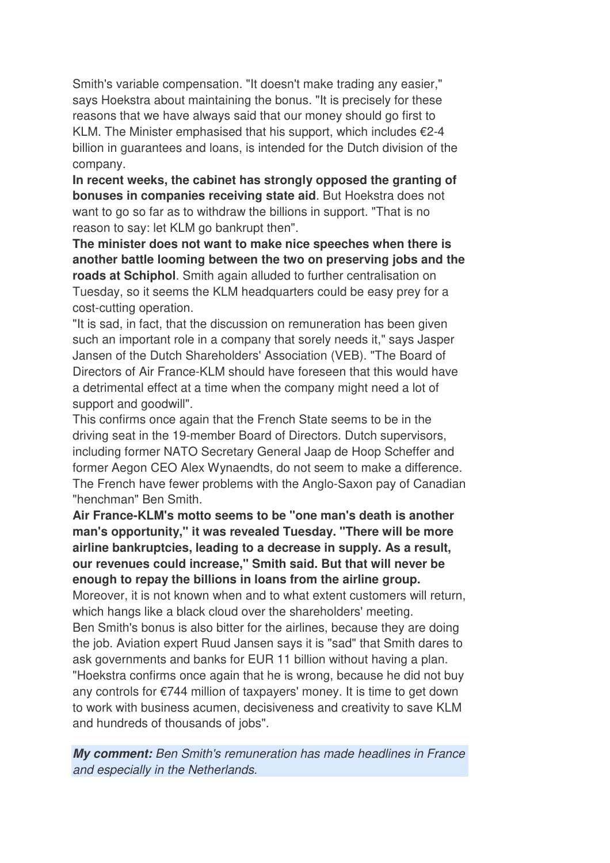Smith's variable compensation. "It doesn't make trading any easier," says Hoekstra about maintaining the bonus. "It is precisely for these reasons that we have always said that our money should go first to KLM. The Minister emphasised that his support, which includes  $\epsilon$ 2-4 billion in guarantees and loans, is intended for the Dutch division of the company.

**In recent weeks, the cabinet has strongly opposed the granting of bonuses in companies receiving state aid**. But Hoekstra does not want to go so far as to withdraw the billions in support. "That is no reason to say: let KLM go bankrupt then".

**The minister does not want to make nice speeches when there is another battle looming between the two on preserving jobs and the roads at Schiphol**. Smith again alluded to further centralisation on Tuesday, so it seems the KLM headquarters could be easy prey for a cost-cutting operation.

"It is sad, in fact, that the discussion on remuneration has been given such an important role in a company that sorely needs it," says Jasper Jansen of the Dutch Shareholders' Association (VEB). "The Board of Directors of Air France-KLM should have foreseen that this would have a detrimental effect at a time when the company might need a lot of support and goodwill".

This confirms once again that the French State seems to be in the driving seat in the 19-member Board of Directors. Dutch supervisors, including former NATO Secretary General Jaap de Hoop Scheffer and former Aegon CEO Alex Wynaendts, do not seem to make a difference. The French have fewer problems with the Anglo-Saxon pay of Canadian "henchman" Ben Smith.

**Air France-KLM's motto seems to be "one man's death is another man's opportunity," it was revealed Tuesday. "There will be more airline bankruptcies, leading to a decrease in supply. As a result, our revenues could increase," Smith said. But that will never be enough to repay the billions in loans from the airline group.** 

Moreover, it is not known when and to what extent customers will return, which hangs like a black cloud over the shareholders' meeting. Ben Smith's bonus is also bitter for the airlines, because they are doing the job. Aviation expert Ruud Jansen says it is "sad" that Smith dares to ask governments and banks for EUR 11 billion without having a plan. "Hoekstra confirms once again that he is wrong, because he did not buy any controls for €744 million of taxpayers' money. It is time to get down to work with business acumen, decisiveness and creativity to save KLM and hundreds of thousands of jobs".

**My comment:** Ben Smith's remuneration has made headlines in France and especially in the Netherlands.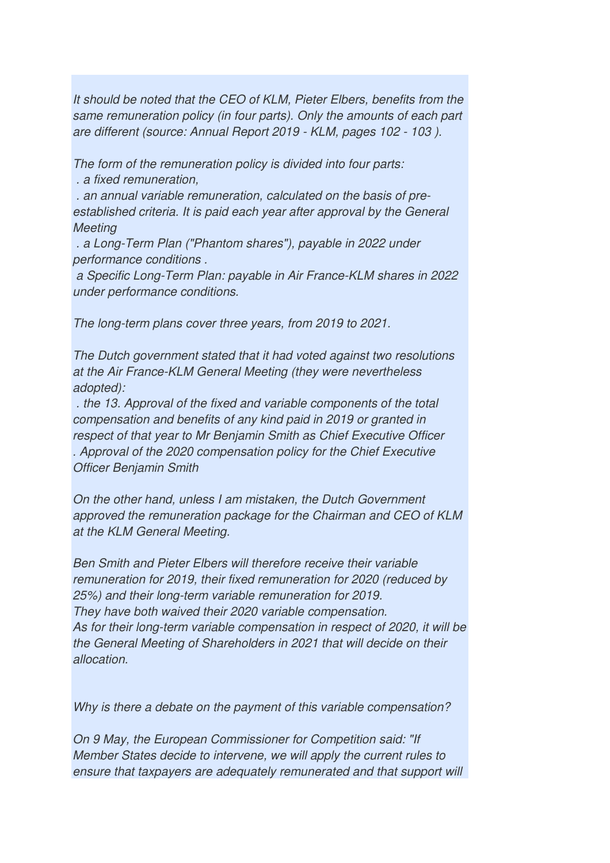It should be noted that the CEO of KLM, Pieter Elbers, benefits from the same remuneration policy (in four parts). Only the amounts of each part are different (source: Annual Report 2019 - KLM, pages 102 - 103 ).

The form of the remuneration policy is divided into four parts:

. a fixed remuneration,

 . an annual variable remuneration, calculated on the basis of preestablished criteria. It is paid each year after approval by the General **Meeting** 

 . a Long-Term Plan ("Phantom shares"), payable in 2022 under performance conditions .

 a Specific Long-Term Plan: payable in Air France-KLM shares in 2022 under performance conditions.

The long-term plans cover three years, from 2019 to 2021.

The Dutch government stated that it had voted against two resolutions at the Air France-KLM General Meeting (they were nevertheless adopted):

 . the 13. Approval of the fixed and variable components of the total compensation and benefits of any kind paid in 2019 or granted in respect of that year to Mr Benjamin Smith as Chief Executive Officer . Approval of the 2020 compensation policy for the Chief Executive Officer Benjamin Smith

On the other hand, unless I am mistaken, the Dutch Government approved the remuneration package for the Chairman and CEO of KLM at the KLM General Meeting.

Ben Smith and Pieter Elbers will therefore receive their variable remuneration for 2019, their fixed remuneration for 2020 (reduced by 25%) and their long-term variable remuneration for 2019. They have both waived their 2020 variable compensation. As for their long-term variable compensation in respect of 2020, it will be the General Meeting of Shareholders in 2021 that will decide on their allocation.

Why is there a debate on the payment of this variable compensation?

On 9 May, the European Commissioner for Competition said: "If Member States decide to intervene, we will apply the current rules to ensure that taxpayers are adequately remunerated and that support will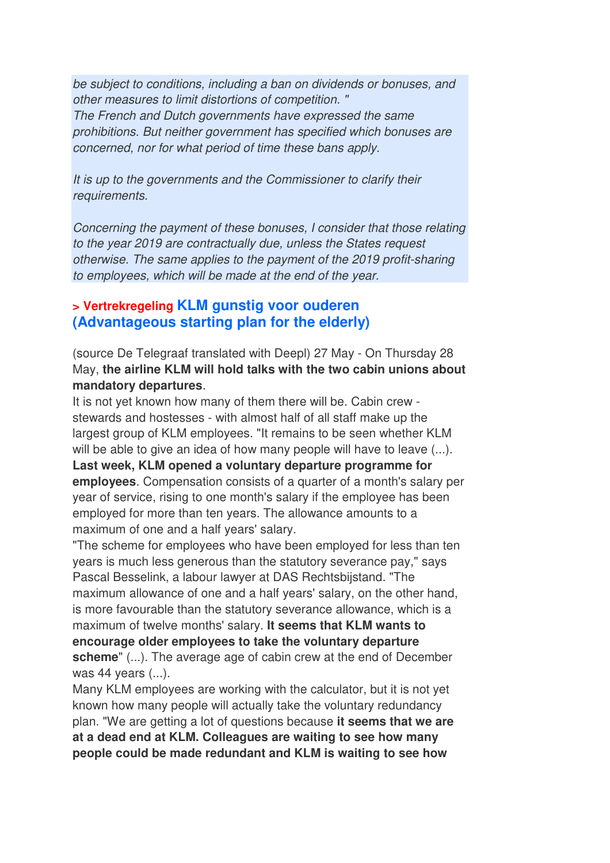be subject to conditions, including a ban on dividends or bonuses, and other measures to limit distortions of competition. " The French and Dutch governments have expressed the same prohibitions. But neither government has specified which bonuses are concerned, nor for what period of time these bans apply.

It is up to the governments and the Commissioner to clarify their requirements.

Concerning the payment of these bonuses, I consider that those relating to the year 2019 are contractually due, unless the States request otherwise. The same applies to the payment of the 2019 profit-sharing to employees, which will be made at the end of the year.

## **> Vertrekregeling KLM gunstig voor ouderen (Advantageous starting plan for the elderly)**

(source De Telegraaf translated with Deepl) 27 May - On Thursday 28 May, **the airline KLM will hold talks with the two cabin unions about mandatory departures**.

It is not yet known how many of them there will be. Cabin crew stewards and hostesses - with almost half of all staff make up the largest group of KLM employees. "It remains to be seen whether KLM will be able to give an idea of how many people will have to leave  $(...)$ . **Last week, KLM opened a voluntary departure programme for employees**. Compensation consists of a quarter of a month's salary per year of service, rising to one month's salary if the employee has been employed for more than ten years. The allowance amounts to a maximum of one and a half years' salary.

"The scheme for employees who have been employed for less than ten years is much less generous than the statutory severance pay," says Pascal Besselink, a labour lawyer at DAS Rechtsbijstand. "The maximum allowance of one and a half years' salary, on the other hand, is more favourable than the statutory severance allowance, which is a maximum of twelve months' salary. **It seems that KLM wants to encourage older employees to take the voluntary departure scheme**" (...). The average age of cabin crew at the end of December was 44 years (...).

Many KLM employees are working with the calculator, but it is not yet known how many people will actually take the voluntary redundancy plan. "We are getting a lot of questions because **it seems that we are at a dead end at KLM. Colleagues are waiting to see how many people could be made redundant and KLM is waiting to see how**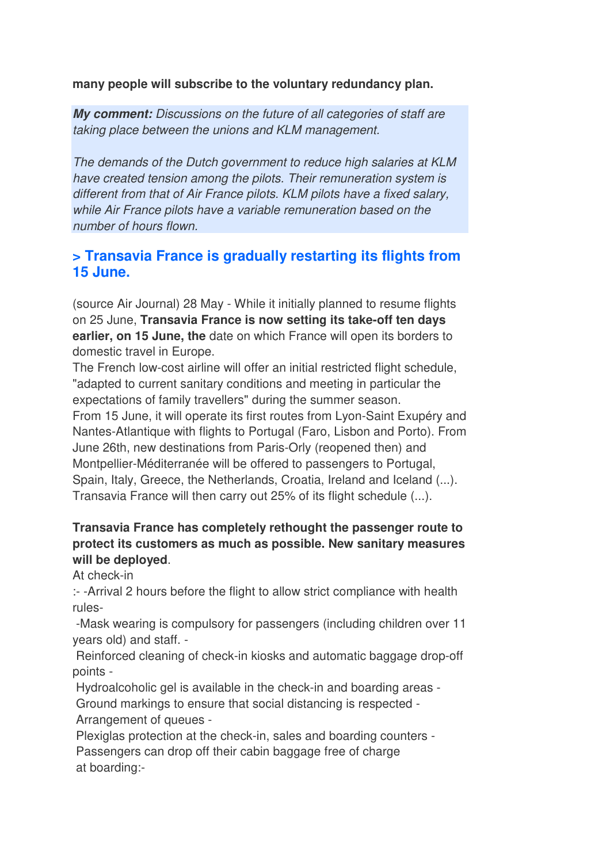**many people will subscribe to the voluntary redundancy plan.**

**My comment:** Discussions on the future of all categories of staff are taking place between the unions and KLM management.

The demands of the Dutch government to reduce high salaries at KLM have created tension among the pilots. Their remuneration system is different from that of Air France pilots. KLM pilots have a fixed salary, while Air France pilots have a variable remuneration based on the number of hours flown.

## **> Transavia France is gradually restarting its flights from 15 June.**

(source Air Journal) 28 May - While it initially planned to resume flights on 25 June, **Transavia France is now setting its take-off ten days earlier, on 15 June, the** date on which France will open its borders to domestic travel in Europe.

The French low-cost airline will offer an initial restricted flight schedule, "adapted to current sanitary conditions and meeting in particular the expectations of family travellers" during the summer season. From 15 June, it will operate its first routes from Lyon-Saint Exupéry and Nantes-Atlantique with flights to Portugal (Faro, Lisbon and Porto). From June 26th, new destinations from Paris-Orly (reopened then) and Montpellier-Méditerranée will be offered to passengers to Portugal, Spain, Italy, Greece, the Netherlands, Croatia, Ireland and Iceland (...). Transavia France will then carry out 25% of its flight schedule (...).

## **Transavia France has completely rethought the passenger route to protect its customers as much as possible. New sanitary measures will be deployed**.

At check-in

:- -Arrival 2 hours before the flight to allow strict compliance with health rules-

 -Mask wearing is compulsory for passengers (including children over 11 years old) and staff. -

 Reinforced cleaning of check-in kiosks and automatic baggage drop-off points -

Hydroalcoholic gel is available in the check-in and boarding areas -

 Ground markings to ensure that social distancing is respected - Arrangement of queues -

 Plexiglas protection at the check-in, sales and boarding counters - Passengers can drop off their cabin baggage free of charge at boarding:-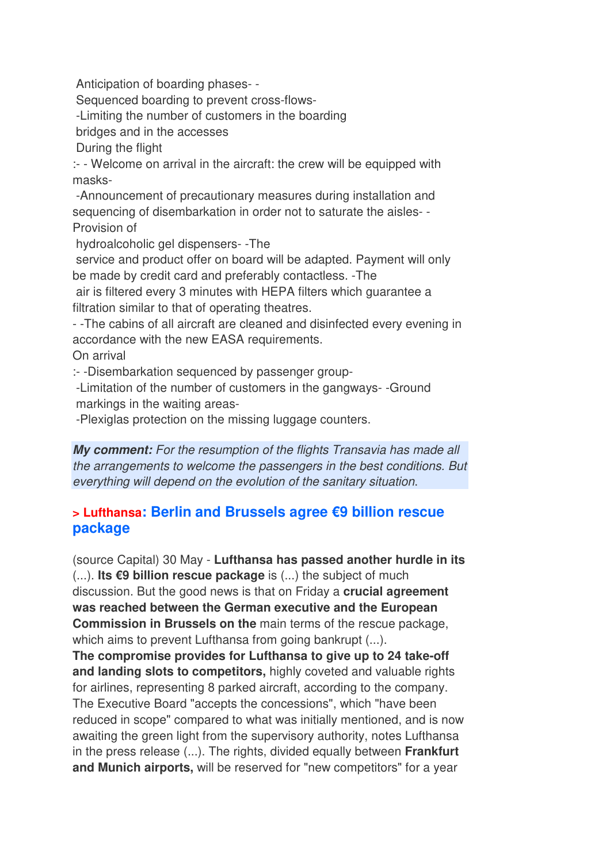Anticipation of boarding phases- -

Sequenced boarding to prevent cross-flows-

-Limiting the number of customers in the boarding

bridges and in the accesses

During the flight

:- - Welcome on arrival in the aircraft: the crew will be equipped with masks-

 -Announcement of precautionary measures during installation and sequencing of disembarkation in order not to saturate the aisles- - Provision of

hydroalcoholic gel dispensers- -The

 service and product offer on board will be adapted. Payment will only be made by credit card and preferably contactless. -The

 air is filtered every 3 minutes with HEPA filters which guarantee a filtration similar to that of operating theatres.

- -The cabins of all aircraft are cleaned and disinfected every evening in accordance with the new EASA requirements.

On arrival

:- -Disembarkation sequenced by passenger group-

 -Limitation of the number of customers in the gangways- -Ground markings in the waiting areas-

-Plexiglas protection on the missing luggage counters.

**My comment:** For the resumption of the flights Transavia has made all the arrangements to welcome the passengers in the best conditions. But everything will depend on the evolution of the sanitary situation.

## **> Lufthansa: Berlin and Brussels agree €9 billion rescue package**

(source Capital) 30 May - **Lufthansa has passed another hurdle in its** (...). **Its €9 billion rescue package** is (...) the subject of much discussion. But the good news is that on Friday a **crucial agreement was reached between the German executive and the European Commission in Brussels on the** main terms of the rescue package, which aims to prevent Lufthansa from going bankrupt  $(...)$ .

**The compromise provides for Lufthansa to give up to 24 take-off and landing slots to competitors,** highly coveted and valuable rights for airlines, representing 8 parked aircraft, according to the company. The Executive Board "accepts the concessions", which "have been reduced in scope" compared to what was initially mentioned, and is now awaiting the green light from the supervisory authority, notes Lufthansa in the press release (...). The rights, divided equally between **Frankfurt and Munich airports,** will be reserved for "new competitors" for a year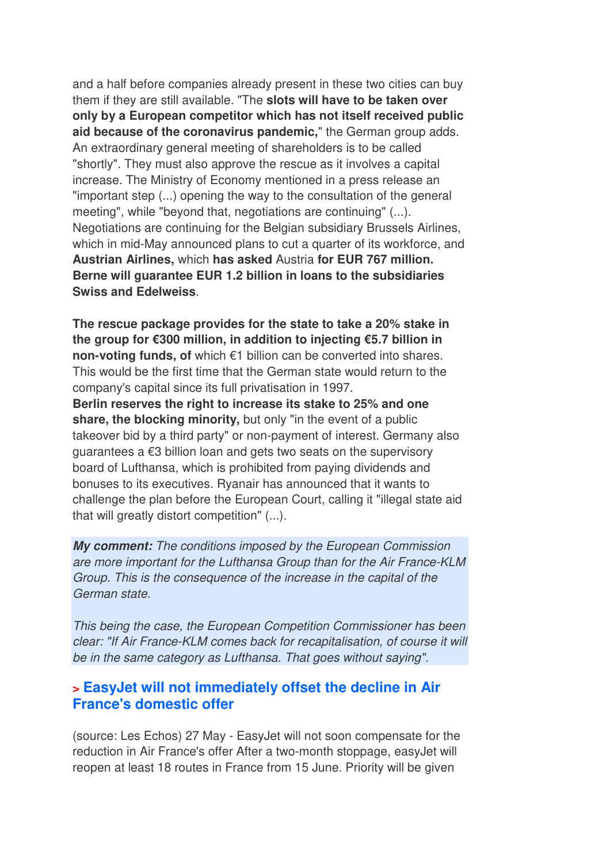and a half before companies already present in these two cities can buy them if they are still available. "The **slots will have to be taken over only by a European competitor which has not itself received public aid because of the coronavirus pandemic,**" the German group adds. An extraordinary general meeting of shareholders is to be called "shortly". They must also approve the rescue as it involves a capital increase. The Ministry of Economy mentioned in a press release an "important step (...) opening the way to the consultation of the general meeting", while "beyond that, negotiations are continuing" (...). Negotiations are continuing for the Belgian subsidiary Brussels Airlines, which in mid-May announced plans to cut a quarter of its workforce, and **Austrian Airlines,** which **has asked** Austria **for EUR 767 million. Berne will guarantee EUR 1.2 billion in loans to the subsidiaries Swiss and Edelweiss**.

**The rescue package provides for the state to take a 20% stake in the group for €300 million, in addition to injecting €5.7 billion in non-voting funds, of** which €1 billion can be converted into shares. This would be the first time that the German state would return to the company's capital since its full privatisation in 1997.

**Berlin reserves the right to increase its stake to 25% and one share, the blocking minority,** but only "in the event of a public takeover bid by a third party" or non-payment of interest. Germany also guarantees a €3 billion loan and gets two seats on the supervisory board of Lufthansa, which is prohibited from paying dividends and bonuses to its executives. Ryanair has announced that it wants to challenge the plan before the European Court, calling it "illegal state aid that will greatly distort competition" (...).

**My comment:** The conditions imposed by the European Commission are more important for the Lufthansa Group than for the Air France-KLM Group. This is the consequence of the increase in the capital of the German state.

This being the case, the European Competition Commissioner has been clear: "If Air France-KLM comes back for recapitalisation, of course it will be in the same category as Lufthansa. That goes without saying".

## **> EasyJet will not immediately offset the decline in Air France's domestic offer**

(source: Les Echos) 27 May - EasyJet will not soon compensate for the reduction in Air France's offer After a two-month stoppage, easyJet will reopen at least 18 routes in France from 15 June. Priority will be given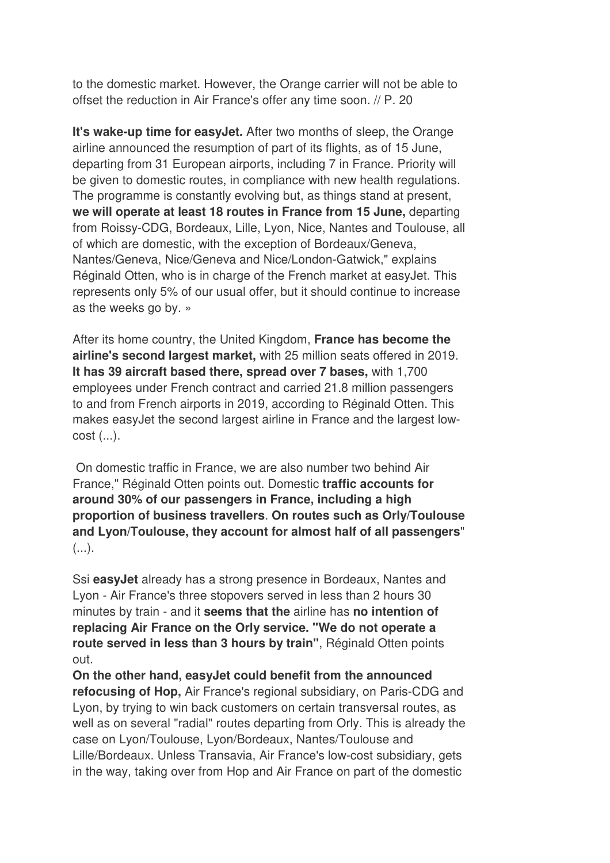to the domestic market. However, the Orange carrier will not be able to offset the reduction in Air France's offer any time soon. // P. 20

**It's wake-up time for easyJet.** After two months of sleep, the Orange airline announced the resumption of part of its flights, as of 15 June, departing from 31 European airports, including 7 in France. Priority will be given to domestic routes, in compliance with new health regulations. The programme is constantly evolving but, as things stand at present, **we will operate at least 18 routes in France from 15 June,** departing from Roissy-CDG, Bordeaux, Lille, Lyon, Nice, Nantes and Toulouse, all of which are domestic, with the exception of Bordeaux/Geneva, Nantes/Geneva, Nice/Geneva and Nice/London-Gatwick," explains Réginald Otten, who is in charge of the French market at easyJet. This represents only 5% of our usual offer, but it should continue to increase as the weeks go by. »

After its home country, the United Kingdom, **France has become the airline's second largest market,** with 25 million seats offered in 2019. **It has 39 aircraft based there, spread over 7 bases,** with 1,700 employees under French contract and carried 21.8 million passengers to and from French airports in 2019, according to Réginald Otten. This makes easyJet the second largest airline in France and the largest lowcost (...).

 On domestic traffic in France, we are also number two behind Air France," Réginald Otten points out. Domestic **traffic accounts for around 30% of our passengers in France, including a high proportion of business travellers**. **On routes such as Orly/Toulouse and Lyon/Toulouse, they account for almost half of all passengers**"  $(\ldots).$ 

Ssi **easyJet** already has a strong presence in Bordeaux, Nantes and Lyon - Air France's three stopovers served in less than 2 hours 30 minutes by train - and it **seems that the** airline has **no intention of replacing Air France on the Orly service. "We do not operate a route served in less than 3 hours by train"**, Réginald Otten points out.

**On the other hand, easyJet could benefit from the announced refocusing of Hop,** Air France's regional subsidiary, on Paris-CDG and Lyon, by trying to win back customers on certain transversal routes, as well as on several "radial" routes departing from Orly. This is already the case on Lyon/Toulouse, Lyon/Bordeaux, Nantes/Toulouse and Lille/Bordeaux. Unless Transavia, Air France's low-cost subsidiary, gets in the way, taking over from Hop and Air France on part of the domestic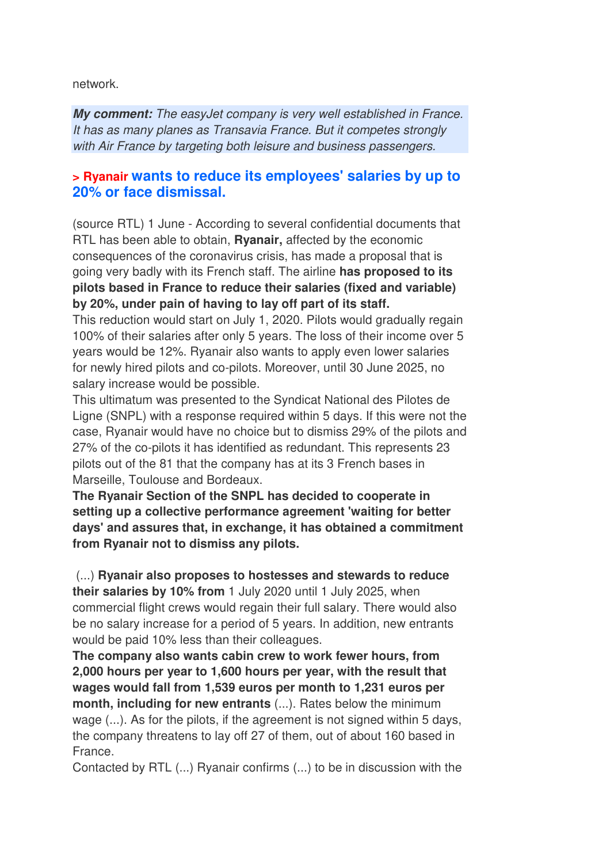network.

**My comment:** The easyJet company is very well established in France. It has as many planes as Transavia France. But it competes strongly with Air France by targeting both leisure and business passengers.

## **> Ryanair wants to reduce its employees' salaries by up to 20% or face dismissal.**

(source RTL) 1 June - According to several confidential documents that RTL has been able to obtain, **Ryanair,** affected by the economic consequences of the coronavirus crisis, has made a proposal that is going very badly with its French staff. The airline **has proposed to its pilots based in France to reduce their salaries (fixed and variable) by 20%, under pain of having to lay off part of its staff.** 

This reduction would start on July 1, 2020. Pilots would gradually regain 100% of their salaries after only 5 years. The loss of their income over 5 years would be 12%. Ryanair also wants to apply even lower salaries for newly hired pilots and co-pilots. Moreover, until 30 June 2025, no salary increase would be possible.

This ultimatum was presented to the Syndicat National des Pilotes de Ligne (SNPL) with a response required within 5 days. If this were not the case, Ryanair would have no choice but to dismiss 29% of the pilots and 27% of the co-pilots it has identified as redundant. This represents 23 pilots out of the 81 that the company has at its 3 French bases in Marseille, Toulouse and Bordeaux.

**The Ryanair Section of the SNPL has decided to cooperate in setting up a collective performance agreement 'waiting for better days' and assures that, in exchange, it has obtained a commitment from Ryanair not to dismiss any pilots.** 

 (...) **Ryanair also proposes to hostesses and stewards to reduce their salaries by 10% from** 1 July 2020 until 1 July 2025, when commercial flight crews would regain their full salary. There would also be no salary increase for a period of 5 years. In addition, new entrants would be paid 10% less than their colleagues.

**The company also wants cabin crew to work fewer hours, from 2,000 hours per year to 1,600 hours per year, with the result that wages would fall from 1,539 euros per month to 1,231 euros per month, including for new entrants** (...). Rates below the minimum wage (...). As for the pilots, if the agreement is not signed within 5 days, the company threatens to lay off 27 of them, out of about 160 based in France.

Contacted by RTL (...) Ryanair confirms (...) to be in discussion with the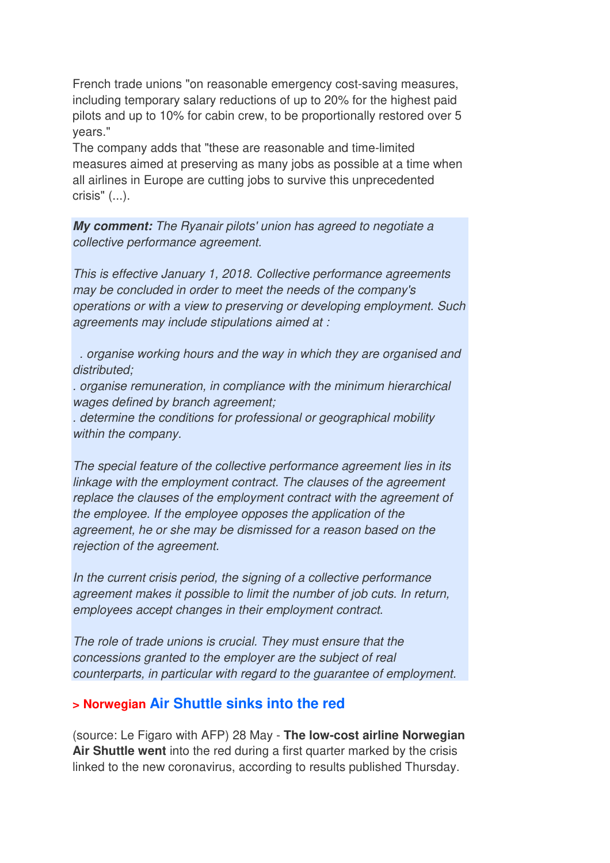French trade unions "on reasonable emergency cost-saving measures, including temporary salary reductions of up to 20% for the highest paid pilots and up to 10% for cabin crew, to be proportionally restored over 5 years."

The company adds that "these are reasonable and time-limited measures aimed at preserving as many jobs as possible at a time when all airlines in Europe are cutting jobs to survive this unprecedented crisis" (...).

**My comment:** The Ryanair pilots' union has agreed to negotiate a collective performance agreement.

This is effective January 1, 2018. Collective performance agreements may be concluded in order to meet the needs of the company's operations or with a view to preserving or developing employment. Such agreements may include stipulations aimed at :

 . organise working hours and the way in which they are organised and distributed;

. organise remuneration, in compliance with the minimum hierarchical wages defined by branch agreement;

. determine the conditions for professional or geographical mobility within the company.

The special feature of the collective performance agreement lies in its linkage with the employment contract. The clauses of the agreement replace the clauses of the employment contract with the agreement of the employee. If the employee opposes the application of the agreement, he or she may be dismissed for a reason based on the rejection of the agreement.

In the current crisis period, the signing of a collective performance agreement makes it possible to limit the number of job cuts. In return, employees accept changes in their employment contract.

The role of trade unions is crucial. They must ensure that the concessions granted to the employer are the subject of real counterparts, in particular with regard to the guarantee of employment.

## **> Norwegian Air Shuttle sinks into the red**

(source: Le Figaro with AFP) 28 May - **The low-cost airline Norwegian Air Shuttle went** into the red during a first quarter marked by the crisis linked to the new coronavirus, according to results published Thursday.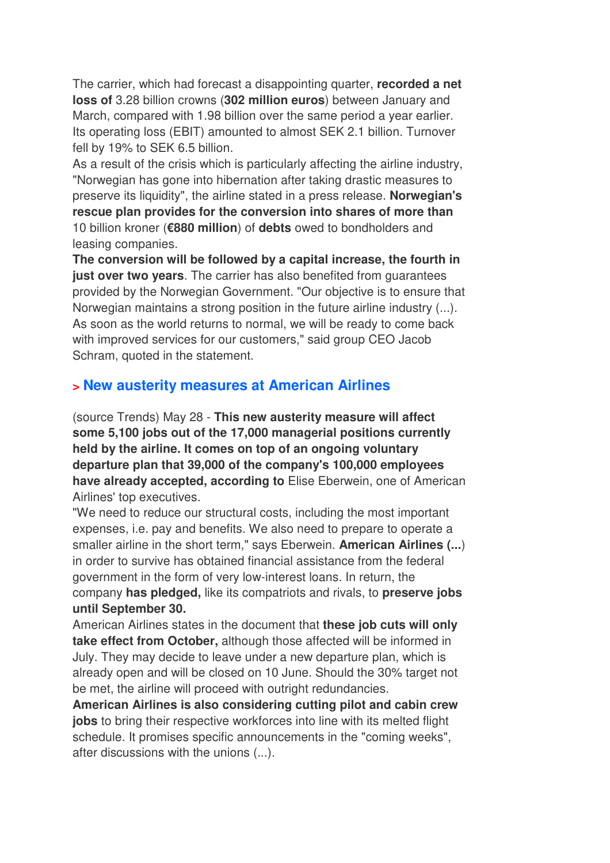The carrier, which had forecast a disappointing quarter, **recorded a net loss of** 3.28 billion crowns (**302 million euros**) between January and March, compared with 1.98 billion over the same period a year earlier. Its operating loss (EBIT) amounted to almost SEK 2.1 billion. Turnover fell by 19% to SEK 6.5 billion.

As a result of the crisis which is particularly affecting the airline industry, "Norwegian has gone into hibernation after taking drastic measures to preserve its liquidity", the airline stated in a press release. **Norwegian's rescue plan provides for the conversion into shares of more than**  10 billion kroner (**€880 million**) of **debts** owed to bondholders and leasing companies.

**The conversion will be followed by a capital increase, the fourth in just over two years**. The carrier has also benefited from guarantees provided by the Norwegian Government. "Our objective is to ensure that Norwegian maintains a strong position in the future airline industry (...). As soon as the world returns to normal, we will be ready to come back with improved services for our customers," said group CEO Jacob Schram, quoted in the statement.

## **> New austerity measures at American Airlines**

(source Trends) May 28 - **This new austerity measure will affect some 5,100 jobs out of the 17,000 managerial positions currently held by the airline. It comes on top of an ongoing voluntary departure plan that 39,000 of the company's 100,000 employees have already accepted, according to** Elise Eberwein, one of American Airlines' top executives.

"We need to reduce our structural costs, including the most important expenses, i.e. pay and benefits. We also need to prepare to operate a smaller airline in the short term," says Eberwein. **American Airlines (...**) in order to survive has obtained financial assistance from the federal government in the form of very low-interest loans. In return, the company **has pledged,** like its compatriots and rivals, to **preserve jobs until September 30.** 

American Airlines states in the document that **these job cuts will only take effect from October,** although those affected will be informed in July. They may decide to leave under a new departure plan, which is already open and will be closed on 10 June. Should the 30% target not be met, the airline will proceed with outright redundancies.

**American Airlines is also considering cutting pilot and cabin crew jobs** to bring their respective workforces into line with its melted flight schedule. It promises specific announcements in the "coming weeks", after discussions with the unions (...).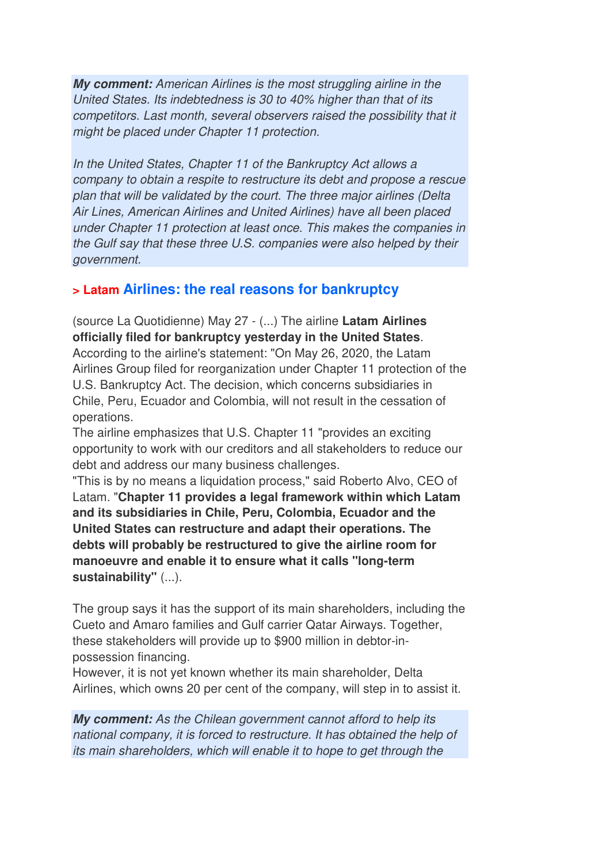**My comment:** American Airlines is the most struggling airline in the United States. Its indebtedness is 30 to 40% higher than that of its competitors. Last month, several observers raised the possibility that it might be placed under Chapter 11 protection.

In the United States, Chapter 11 of the Bankruptcy Act allows a company to obtain a respite to restructure its debt and propose a rescue plan that will be validated by the court. The three major airlines (Delta Air Lines, American Airlines and United Airlines) have all been placed under Chapter 11 protection at least once. This makes the companies in the Gulf say that these three U.S. companies were also helped by their government.

## **> Latam Airlines: the real reasons for bankruptcy**

(source La Quotidienne) May 27 - (...) The airline **Latam Airlines officially filed for bankruptcy yesterday in the United States**. According to the airline's statement: "On May 26, 2020, the Latam Airlines Group filed for reorganization under Chapter 11 protection of the U.S. Bankruptcy Act. The decision, which concerns subsidiaries in Chile, Peru, Ecuador and Colombia, will not result in the cessation of operations.

The airline emphasizes that U.S. Chapter 11 "provides an exciting opportunity to work with our creditors and all stakeholders to reduce our debt and address our many business challenges.

"This is by no means a liquidation process," said Roberto Alvo, CEO of Latam. "**Chapter 11 provides a legal framework within which Latam and its subsidiaries in Chile, Peru, Colombia, Ecuador and the United States can restructure and adapt their operations. The debts will probably be restructured to give the airline room for manoeuvre and enable it to ensure what it calls "long-term sustainability"** (...).

The group says it has the support of its main shareholders, including the Cueto and Amaro families and Gulf carrier Qatar Airways. Together, these stakeholders will provide up to \$900 million in debtor-inpossession financing.

However, it is not yet known whether its main shareholder, Delta Airlines, which owns 20 per cent of the company, will step in to assist it.

**My comment:** As the Chilean government cannot afford to help its national company, it is forced to restructure. It has obtained the help of its main shareholders, which will enable it to hope to get through the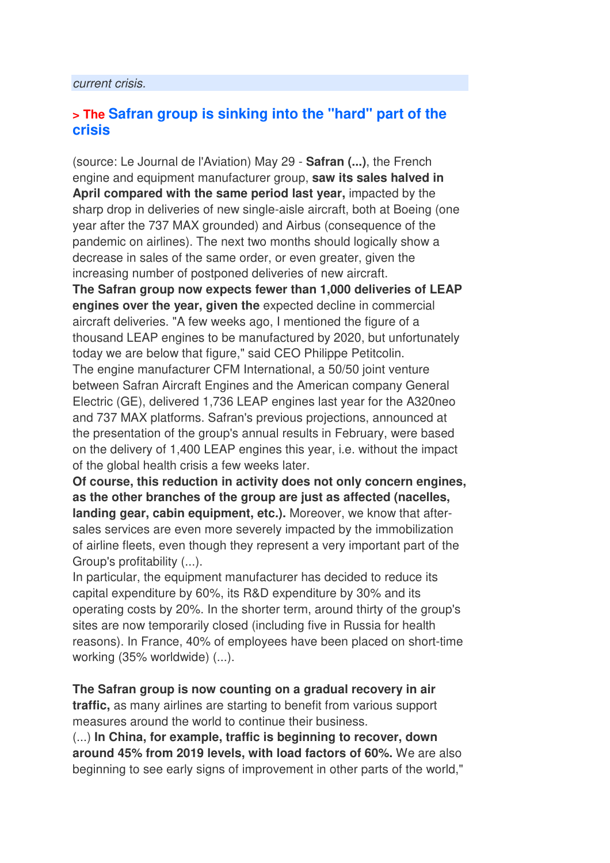#### current crisis.

## **> The Safran group is sinking into the "hard" part of the crisis**

(source: Le Journal de l'Aviation) May 29 - **Safran (...)**, the French engine and equipment manufacturer group, **saw its sales halved in April compared with the same period last year,** impacted by the sharp drop in deliveries of new single-aisle aircraft, both at Boeing (one year after the 737 MAX grounded) and Airbus (consequence of the pandemic on airlines). The next two months should logically show a decrease in sales of the same order, or even greater, given the increasing number of postponed deliveries of new aircraft. **The Safran group now expects fewer than 1,000 deliveries of LEAP engines over the year, given the** expected decline in commercial aircraft deliveries. "A few weeks ago, I mentioned the figure of a thousand LEAP engines to be manufactured by 2020, but unfortunately today we are below that figure," said CEO Philippe Petitcolin. The engine manufacturer CFM International, a 50/50 joint venture between Safran Aircraft Engines and the American company General Electric (GE), delivered 1,736 LEAP engines last year for the A320neo and 737 MAX platforms. Safran's previous projections, announced at the presentation of the group's annual results in February, were based on the delivery of 1,400 LEAP engines this year, i.e. without the impact of the global health crisis a few weeks later.

**Of course, this reduction in activity does not only concern engines, as the other branches of the group are just as affected (nacelles, landing gear, cabin equipment, etc.).** Moreover, we know that aftersales services are even more severely impacted by the immobilization of airline fleets, even though they represent a very important part of the Group's profitability (...).

In particular, the equipment manufacturer has decided to reduce its capital expenditure by 60%, its R&D expenditure by 30% and its operating costs by 20%. In the shorter term, around thirty of the group's sites are now temporarily closed (including five in Russia for health reasons). In France, 40% of employees have been placed on short-time working (35% worldwide) (...).

**The Safran group is now counting on a gradual recovery in air traffic,** as many airlines are starting to benefit from various support measures around the world to continue their business.

(...) **In China, for example, traffic is beginning to recover, down around 45% from 2019 levels, with load factors of 60%.** We are also beginning to see early signs of improvement in other parts of the world,"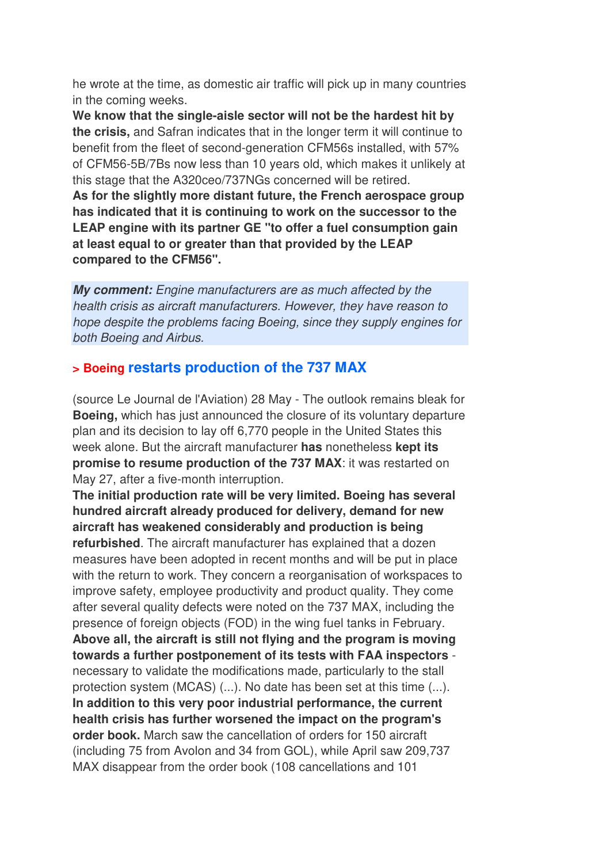he wrote at the time, as domestic air traffic will pick up in many countries in the coming weeks.

**We know that the single-aisle sector will not be the hardest hit by the crisis,** and Safran indicates that in the longer term it will continue to benefit from the fleet of second-generation CFM56s installed, with 57% of CFM56-5B/7Bs now less than 10 years old, which makes it unlikely at this stage that the A320ceo/737NGs concerned will be retired. **As for the slightly more distant future, the French aerospace group has indicated that it is continuing to work on the successor to the LEAP engine with its partner GE "to offer a fuel consumption gain at least equal to or greater than that provided by the LEAP compared to the CFM56".**

**My comment:** Engine manufacturers are as much affected by the health crisis as aircraft manufacturers. However, they have reason to hope despite the problems facing Boeing, since they supply engines for both Boeing and Airbus.

## **> Boeing restarts production of the 737 MAX**

(source Le Journal de l'Aviation) 28 May - The outlook remains bleak for **Boeing,** which has just announced the closure of its voluntary departure plan and its decision to lay off 6,770 people in the United States this week alone. But the aircraft manufacturer **has** nonetheless **kept its promise to resume production of the 737 MAX**: it was restarted on May 27, after a five-month interruption.

**The initial production rate will be very limited. Boeing has several hundred aircraft already produced for delivery, demand for new aircraft has weakened considerably and production is being refurbished**. The aircraft manufacturer has explained that a dozen measures have been adopted in recent months and will be put in place with the return to work. They concern a reorganisation of workspaces to improve safety, employee productivity and product quality. They come after several quality defects were noted on the 737 MAX, including the presence of foreign objects (FOD) in the wing fuel tanks in February. **Above all, the aircraft is still not flying and the program is moving towards a further postponement of its tests with FAA inspectors** necessary to validate the modifications made, particularly to the stall protection system (MCAS) (...). No date has been set at this time (...). **In addition to this very poor industrial performance, the current health crisis has further worsened the impact on the program's order book.** March saw the cancellation of orders for 150 aircraft (including 75 from Avolon and 34 from GOL), while April saw 209,737 MAX disappear from the order book (108 cancellations and 101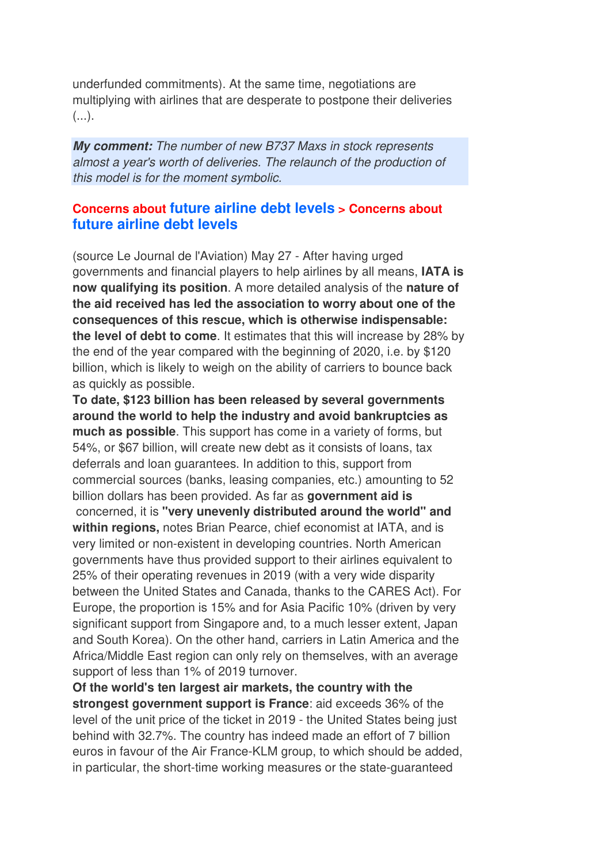underfunded commitments). At the same time, negotiations are multiplying with airlines that are desperate to postpone their deliveries  $(\ldots).$ 

**My comment:** The number of new B737 Maxs in stock represents almost a year's worth of deliveries. The relaunch of the production of this model is for the moment symbolic.

## **Concerns about future airline debt levels > Concerns about future airline debt levels**

(source Le Journal de l'Aviation) May 27 - After having urged governments and financial players to help airlines by all means, **IATA is now qualifying its position**. A more detailed analysis of the **nature of the aid received has led the association to worry about one of the consequences of this rescue, which is otherwise indispensable: the level of debt to come**. It estimates that this will increase by 28% by the end of the year compared with the beginning of 2020, i.e. by \$120 billion, which is likely to weigh on the ability of carriers to bounce back as quickly as possible.

**To date, \$123 billion has been released by several governments around the world to help the industry and avoid bankruptcies as much as possible**. This support has come in a variety of forms, but 54%, or \$67 billion, will create new debt as it consists of loans, tax deferrals and loan guarantees. In addition to this, support from commercial sources (banks, leasing companies, etc.) amounting to 52 billion dollars has been provided. As far as **government aid is** concerned, it is **"very unevenly distributed around the world" and within regions,** notes Brian Pearce, chief economist at IATA, and is very limited or non-existent in developing countries. North American governments have thus provided support to their airlines equivalent to 25% of their operating revenues in 2019 (with a very wide disparity between the United States and Canada, thanks to the CARES Act). For Europe, the proportion is 15% and for Asia Pacific 10% (driven by very significant support from Singapore and, to a much lesser extent, Japan and South Korea). On the other hand, carriers in Latin America and the Africa/Middle East region can only rely on themselves, with an average support of less than 1% of 2019 turnover.

**Of the world's ten largest air markets, the country with the strongest government support is France**: aid exceeds 36% of the level of the unit price of the ticket in 2019 - the United States being just behind with 32.7%. The country has indeed made an effort of 7 billion euros in favour of the Air France-KLM group, to which should be added, in particular, the short-time working measures or the state-guaranteed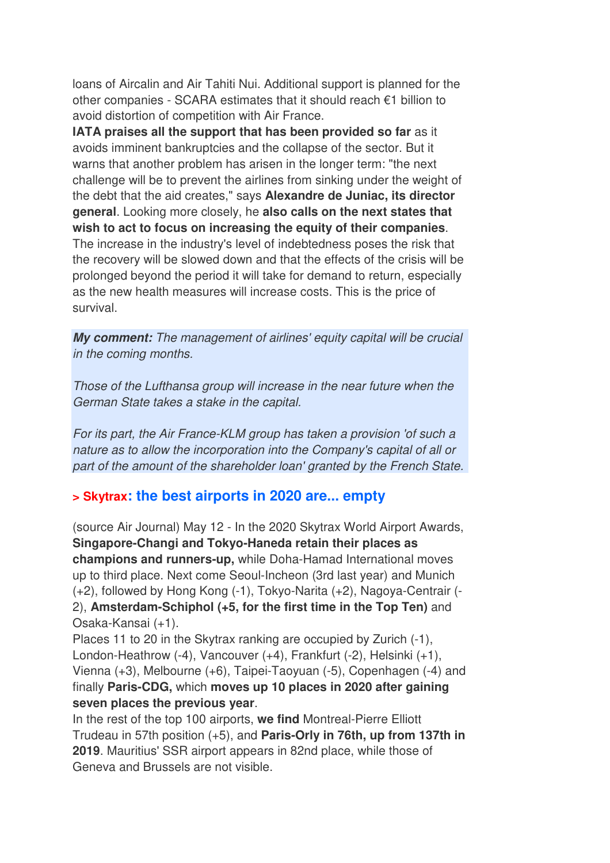loans of Aircalin and Air Tahiti Nui. Additional support is planned for the other companies - SCARA estimates that it should reach  $\epsilon$ 1 billion to avoid distortion of competition with Air France.

**IATA praises all the support that has been provided so far** as it avoids imminent bankruptcies and the collapse of the sector. But it warns that another problem has arisen in the longer term: "the next challenge will be to prevent the airlines from sinking under the weight of the debt that the aid creates," says **Alexandre de Juniac, its director general**. Looking more closely, he **also calls on the next states that wish to act to focus on increasing the equity of their companies**. The increase in the industry's level of indebtedness poses the risk that the recovery will be slowed down and that the effects of the crisis will be prolonged beyond the period it will take for demand to return, especially as the new health measures will increase costs. This is the price of survival.

**My comment:** The management of airlines' equity capital will be crucial in the coming months.

Those of the Lufthansa group will increase in the near future when the German State takes a stake in the capital.

For its part, the Air France-KLM group has taken a provision 'of such a nature as to allow the incorporation into the Company's capital of all or part of the amount of the shareholder loan' granted by the French State.

## **> Skytrax: the best airports in 2020 are... empty**

(source Air Journal) May 12 - In the 2020 Skytrax World Airport Awards, **Singapore-Changi and Tokyo-Haneda retain their places as champions and runners-up,** while Doha-Hamad International moves up to third place. Next come Seoul-Incheon (3rd last year) and Munich (+2), followed by Hong Kong (-1), Tokyo-Narita (+2), Nagoya-Centrair (- 2), **Amsterdam-Schiphol (+5, for the first time in the Top Ten)** and Osaka-Kansai (+1).

Places 11 to 20 in the Skytrax ranking are occupied by Zurich (-1), London-Heathrow (-4), Vancouver (+4), Frankfurt (-2), Helsinki (+1), Vienna (+3), Melbourne (+6), Taipei-Taoyuan (-5), Copenhagen (-4) and finally **Paris-CDG,** which **moves up 10 places in 2020 after gaining seven places the previous year**.

In the rest of the top 100 airports, **we find** Montreal-Pierre Elliott Trudeau in 57th position (+5), and **Paris-Orly in 76th, up from 137th in 2019**. Mauritius' SSR airport appears in 82nd place, while those of Geneva and Brussels are not visible.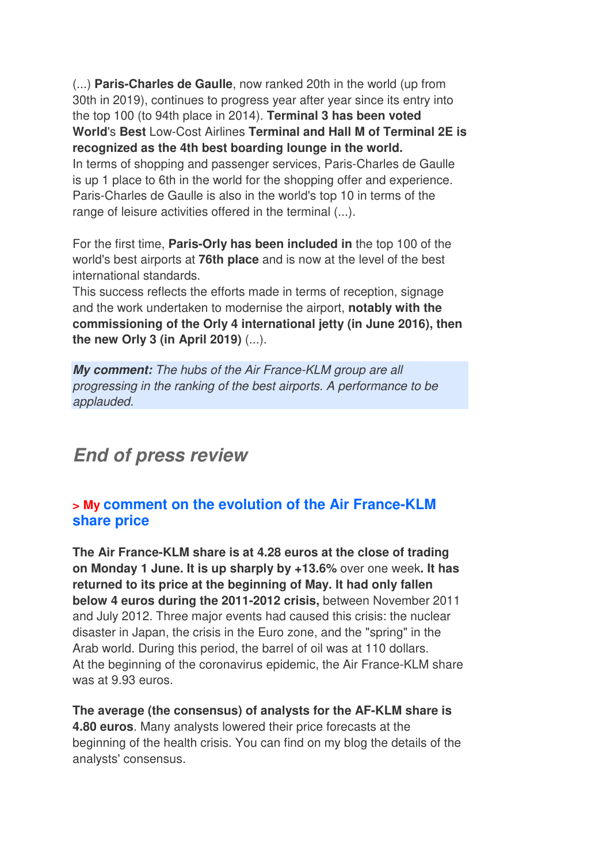(...) **Paris-Charles de Gaulle**, now ranked 20th in the world (up from 30th in 2019), continues to progress year after year since its entry into the top 100 (to 94th place in 2014). **Terminal 3 has been voted World**'s **Best** Low-Cost Airlines **Terminal and Hall M of Terminal 2E is recognized as the 4th best boarding lounge in the world.**  In terms of shopping and passenger services, Paris-Charles de Gaulle

is up 1 place to 6th in the world for the shopping offer and experience. Paris-Charles de Gaulle is also in the world's top 10 in terms of the range of leisure activities offered in the terminal (...).

For the first time, **Paris-Orly has been included in** the top 100 of the world's best airports at **76th place** and is now at the level of the best international standards.

This success reflects the efforts made in terms of reception, signage and the work undertaken to modernise the airport, **notably with the commissioning of the Orly 4 international jetty (in June 2016), then the new Orly 3 (in April 2019)** (...).

**My comment:** The hubs of the Air France-KLM group are all progressing in the ranking of the best airports. A performance to be applauded.

## **End of press review**

## **> My comment on the evolution of the Air France-KLM share price**

**The Air France-KLM share is at 4.28 euros at the close of trading on Monday 1 June. It is up sharply by +13.6%** over one week**. It has returned to its price at the beginning of May. It had only fallen below 4 euros during the 2011-2012 crisis,** between November 2011 and July 2012. Three major events had caused this crisis: the nuclear disaster in Japan, the crisis in the Euro zone, and the "spring" in the Arab world. During this period, the barrel of oil was at 110 dollars. At the beginning of the coronavirus epidemic, the Air France-KLM share was at 9.93 euros.

**The average (the consensus) of analysts for the AF-KLM share is 4.80 euros**. Many analysts lowered their price forecasts at the beginning of the health crisis. You can find on my blog the details of the analysts' consensus.